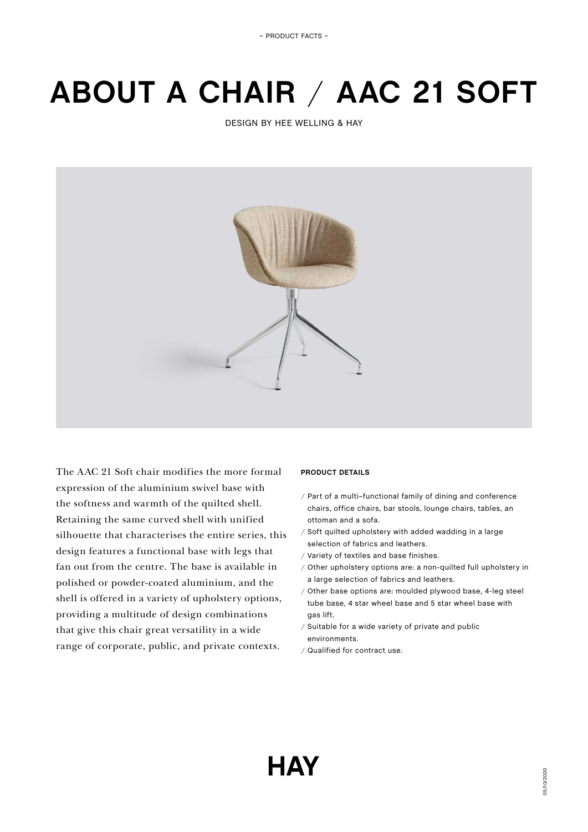# **ABOUT A CHAIR** / **AAC 21 SOFT**

DESIGN BY HEE WELLING & HAY



The AAC 21 Soft chair modifies the more formal expression of the aluminium swivel base with the softness and warmth of the quilted shell. Retaining the same curved shell with unified silhouette that characterises the entire series, this design features a functional base with legs that fan out from the centre. The base is available in polished or powder-coated aluminium, and the shell is offered in a variety of upholstery options, providing a multitude of design combinations that give this chair great versatility in a wide range of corporate, public, and private contexts.

## **PRODUCT DETAILS**

- / Part of a multi–functional family of dining and conference chairs, office chairs, bar stools, lounge chairs, tables, an ottoman and a sofa.
- / Soft quilted upholstery with added wadding in a large selection of fabrics and leathers.
- / Variety of textiles and base finishes.
- / Other upholstery options are: a non-quilted full upholstery in a large selection of fabrics and leathers.
- / Other base options are: moulded plywood base, 4-leg steel tube base, 4 star wheel base and 5 star wheel base with gas lift.
- / Suitable for a wide variety of private and public environments.
- / Qualified for contract use.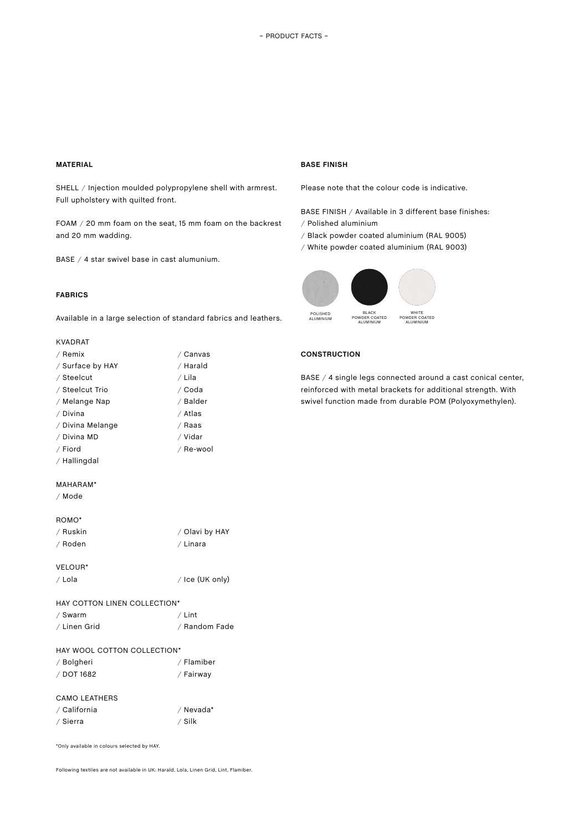# **MATERIAL**

**BASE FINISH**

SHELL / Injection moulded polypropylene shell with armrest. Full upholstery with quilted front.

FOAM / 20 mm foam on the seat, 15 mm foam on the backrest and 20 mm wadding.

BASE / 4 star swivel base in cast alumunium.

## **FABRICS**

Available in a large selection of standard fabrics and leathers.

## KVADRAT

| / Remix          | / Canvas  |
|------------------|-----------|
| / Surface by HAY | / Harald  |
| / Steelcut       | / Lila    |
| / Steelcut Trio  | ∕ Coda    |
| / Melange Nap    | / Balder  |
| / Divina         | ∕ Atlas   |
| / Divina Melange | ∕ Raas    |
| / Divina MD      | ∕ Vidar   |
| / Fiord          | / Re-wool |
| / Hallingdal     |           |
|                  |           |
| MAHARAM*         |           |
| ∕ Mode           |           |
|                  |           |
|                  |           |

# Please note that the colour code is indicative.

BASE FINISH / Available in 3 different base finishes: / Polished aluminium

- / Black powder coated aluminium (RAL 9005)
- / White powder coated aluminium (RAL 9003)



## **CONSTRUCTION**

BASE / 4 single legs connected around a cast conical center, reinforced with metal brackets for additional strength. With swivel function made from durable POM (Polyoxymethylen).

## ROMO\*

| ∕ Ruskin | / Olavi by HAY |
|----------|----------------|
| / Roden  | / Linara       |
|          |                |

# VELOUR\*

/ Lola / Ice (UK only)

|  |  | HAY COTTON LINEN COLLECTION* |
|--|--|------------------------------|
|  |  |                              |

| / Swarm      | $/$ Lint      |
|--------------|---------------|
| ∕ Linen Grid | / Random Fade |

## HAY WOOL COTTON COLLECTION\*

| / Bolgheri | / Flamiber |
|------------|------------|
| / DOT 1682 | / Fairway  |

#### CAMO LEATHERS

| / California | / Nevada* |
|--------------|-----------|
| / Sierra     | ∕ Silk    |

\*Only available in colours selected by HAY.

Following textiles are not available in UK: Harald, Lola, Linen Grid, Lint, Flamiber.